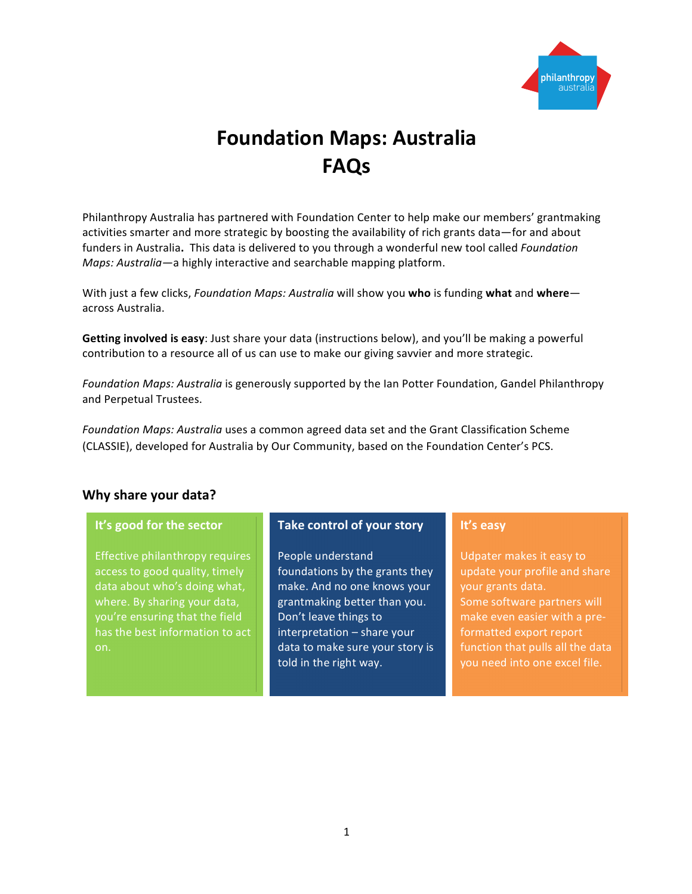

# **Foundation Maps: Australia FAQs**

Philanthropy Australia has partnered with Foundation Center to help make our members' grantmaking activities smarter and more strategic by boosting the availability of rich grants data—for and about funders in Australia. This data is delivered to you through a wonderful new tool called *Foundation Maps: Australia* — a highly interactive and searchable mapping platform.

With just a few clicks, *Foundation Maps: Australia* will show you who is funding what and whereacross Australia. 

Getting involved is easy: Just share your data (instructions below), and you'll be making a powerful contribution to a resource all of us can use to make our giving savvier and more strategic.

Foundation Maps: Australia is generously supported by the Ian Potter Foundation, Gandel Philanthropy and Perpetual Trustees.

Foundation Maps: Australia uses a common agreed data set and the Grant Classification Scheme (CLASSIE), developed for Australia by Our Community, based on the Foundation Center's PCS.

#### **Why share your data?**

#### **It's good for the sector**

Effective philanthropy requires access to good quality, timely data about who's doing what, where. By sharing your data, you're ensuring that the field has the best information to act

#### **Take control of your story**

People understand foundations by the grants they make. And no one knows your grantmaking better than you. Don't leave things to  $interpretation - share your$ data to make sure your story is told in the right way.

#### **It's easy**

Udpater makes it easy to update your profile and share your grants data. Some software partners will make even easier with a preformatted export report function that pulls all the data you need into one excel file.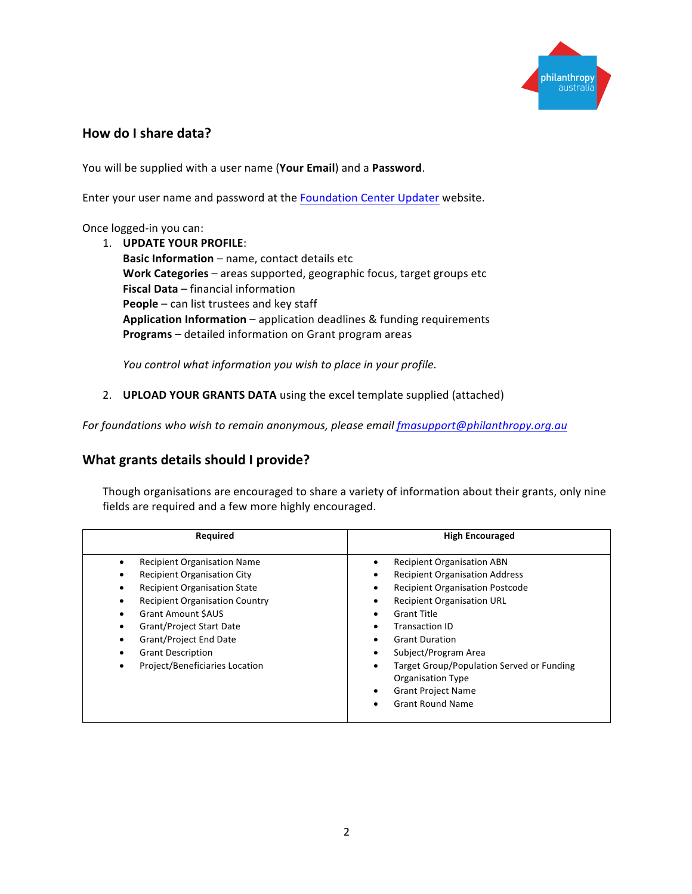

# **How do I share data?**

You will be supplied with a user name (Your Email) and a Password.

Enter your user name and password at the **Foundation Center Updater** website.

#### Once logged-in you can:

1. **UPDATE YOUR PROFILE: Basic Information** – name, contact details etc **Work Categories** – areas supported, geographic focus, target groups etc **Fiscal Data** – financial information **People** – can list trustees and key staff **Application Information** – application deadlines & funding requirements **Programs** – detailed information on Grant program areas

*You control what information you wish to place in your profile.* 

2. **UPLOAD YOUR GRANTS DATA** using the excel template supplied (attached)

For foundations who wish to remain anonymous, please email fmasupport@philanthropy.org.au

# **What grants details should I provide?**

Though organisations are encouraged to share a variety of information about their grants, only nine fields are required and a few more highly encouraged.

| Required                                                                                                                                                                                                                                                                                                                                                                  | <b>High Encouraged</b>                                                                                                                                                                                                                                                                                                                                                                                                                                           |
|---------------------------------------------------------------------------------------------------------------------------------------------------------------------------------------------------------------------------------------------------------------------------------------------------------------------------------------------------------------------------|------------------------------------------------------------------------------------------------------------------------------------------------------------------------------------------------------------------------------------------------------------------------------------------------------------------------------------------------------------------------------------------------------------------------------------------------------------------|
| <b>Recipient Organisation Name</b><br>٠<br><b>Recipient Organisation City</b><br>٠<br><b>Recipient Organisation State</b><br>٠<br><b>Recipient Organisation Country</b><br>$\bullet$<br><b>Grant Amount SAUS</b><br>$\bullet$<br><b>Grant/Project Start Date</b><br><b>Grant/Project End Date</b><br>٠<br><b>Grant Description</b><br>Project/Beneficiaries Location<br>٠ | <b>Recipient Organisation ABN</b><br>٠<br><b>Recipient Organisation Address</b><br>٠<br><b>Recipient Organisation Postcode</b><br>٠<br><b>Recipient Organisation URL</b><br>٠<br><b>Grant Title</b><br>٠<br><b>Transaction ID</b><br>٠<br><b>Grant Duration</b><br>٠<br>Subject/Program Area<br>٠<br><b>Target Group/Population Served or Funding</b><br>٠<br><b>Organisation Type</b><br><b>Grant Project Name</b><br>٠<br><b>Grant Round Name</b><br>$\bullet$ |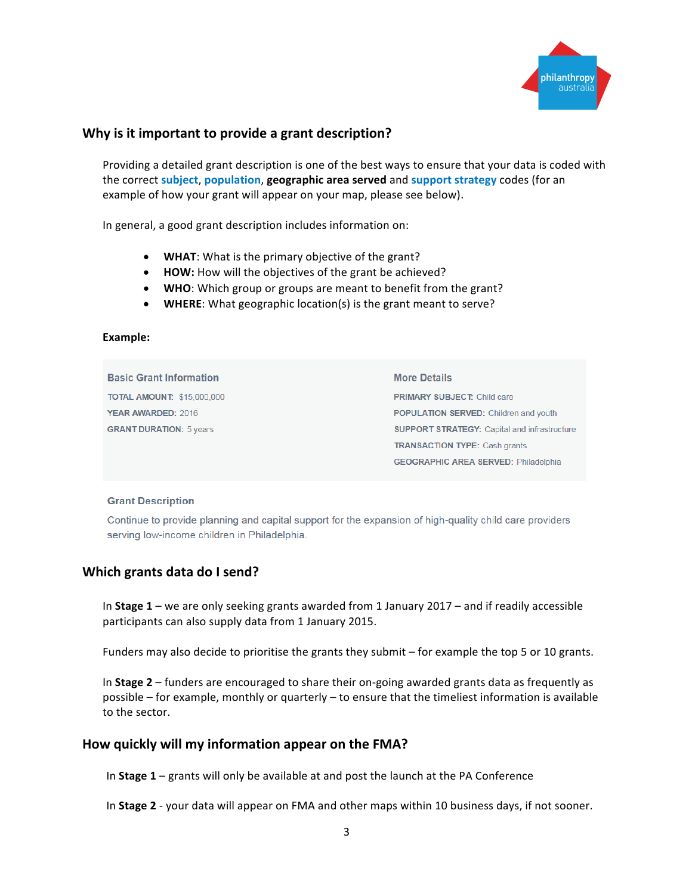

# **Why is it important to provide a grant description?**

Providing a detailed grant description is one of the best ways to ensure that your data is coded with the correct subject, population, geographic area served and support strategy codes (for an example of how your grant will appear on your map, please see below).

In general, a good grant description includes information on:

- WHAT: What is the primary objective of the grant?
- HOW: How will the objectives of the grant be achieved?
- WHO: Which group or groups are meant to benefit from the grant?
- WHERE: What geographic location(s) is the grant meant to serve?

#### **Example:**

**Basic Grant Information TOTAL AMOUNT: \$15,000,000** YEAR AWARDED: 2016 **GRANT DURATION: 5 years** 

**More Details** PRIMARY SUBJECT: Child care POPULATION SERVED: Children and youth **SUPPORT STRATEGY: Capital and infrastructure TRANSACTION TYPE: Cash grants GEOGRAPHIC AREA SERVED: Philadelphia** 

#### **Grant Description**

Continue to provide planning and capital support for the expansion of high-quality child care providers serving low-income children in Philadelphia.

#### **Which grants data do I send?**

In **Stage 1** – we are only seeking grants awarded from 1 January 2017 – and if readily accessible participants can also supply data from 1 January 2015.

Funders may also decide to prioritise the grants they submit  $-$  for example the top 5 or 10 grants.

In **Stage 2** – funders are encouraged to share their on-going awarded grants data as frequently as possible – for example, monthly or quarterly – to ensure that the timeliest information is available to the sector.

#### How quickly will my information appear on the FMA?

In **Stage 1** – grants will only be available at and post the launch at the PA Conference

In **Stage 2** - your data will appear on FMA and other maps within 10 business days, if not sooner.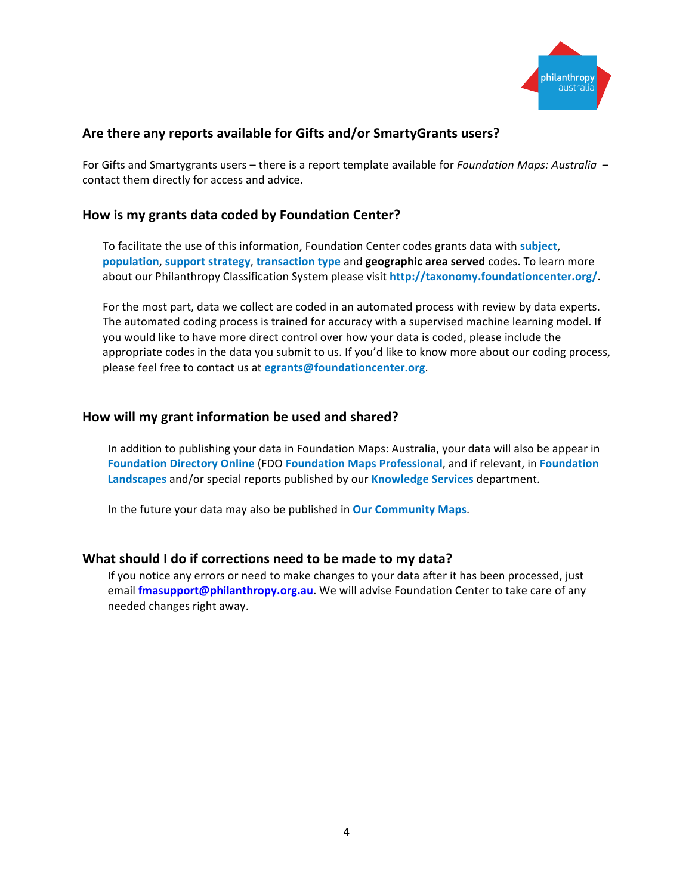

# Are there any reports available for Gifts and/or SmartyGrants users?

For Gifts and Smartygrants users – there is a report template available for *Foundation Maps: Australia* – contact them directly for access and advice.

#### How is my grants data coded by Foundation Center?

To facilitate the use of this information, Foundation Center codes grants data with subject, **population, support strategy, transaction type and <b>geographic area served** codes. To learn more about our Philanthropy Classification System please visit http://taxonomy.foundationcenter.org/.

For the most part, data we collect are coded in an automated process with review by data experts. The automated coding process is trained for accuracy with a supervised machine learning model. If you would like to have more direct control over how your data is coded, please include the appropriate codes in the data you submit to us. If you'd like to know more about our coding process, please feel free to contact us at egrants@foundationcenter.org.

#### How will my grant information be used and shared?

In addition to publishing your data in Foundation Maps: Australia, your data will also be appear in **Foundation Directory Online (FDO Foundation Maps Professional, and if relevant, in Foundation** Landscapes and/or special reports published by our Knowledge Services department.

In the future your data may also be published in **Our Community Maps**.

#### **What should I do if corrections need to be made to my data?**

If you notice any errors or need to make changes to your data after it has been processed, just email **fmasupport@philanthropy.org.au**. We will advise Foundation Center to take care of any needed changes right away.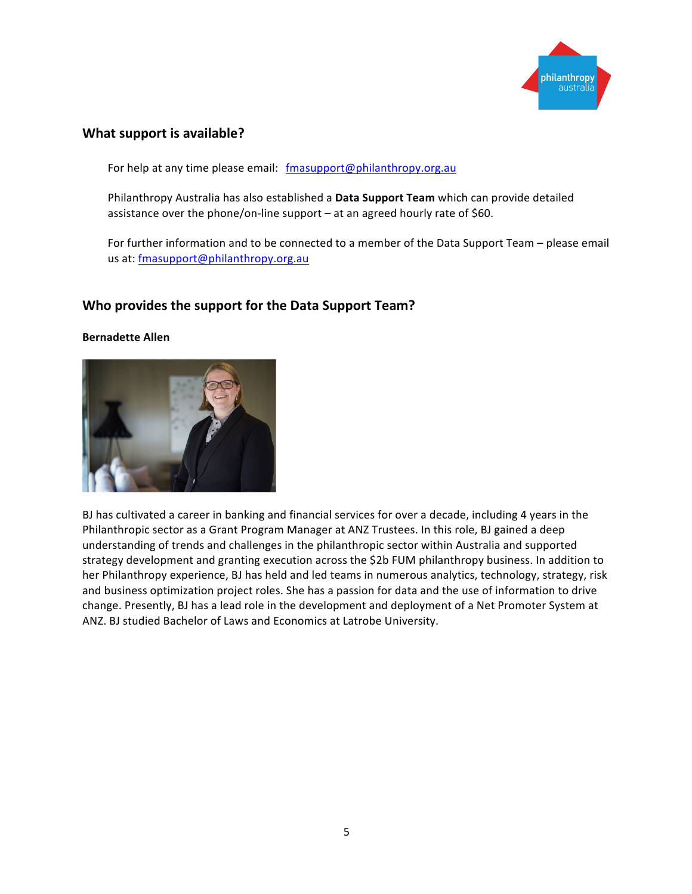

### **What support is available?**

For help at any time please email: fmasupport@philanthropy.org.au

Philanthropy Australia has also established a Data Support Team which can provide detailed assistance over the phone/on-line support  $-$  at an agreed hourly rate of \$60.

For further information and to be connected to a member of the Data Support Team – please email us at: fmasupport@philanthropy.org.au

#### **Who provides the support for the Data Support Team?**

#### **Bernadette Allen**



BJ has cultivated a career in banking and financial services for over a decade, including 4 years in the Philanthropic sector as a Grant Program Manager at ANZ Trustees. In this role, BJ gained a deep understanding of trends and challenges in the philanthropic sector within Australia and supported strategy development and granting execution across the \$2b FUM philanthropy business. In addition to her Philanthropy experience, BJ has held and led teams in numerous analytics, technology, strategy, risk and business optimization project roles. She has a passion for data and the use of information to drive change. Presently, BJ has a lead role in the development and deployment of a Net Promoter System at ANZ. BJ studied Bachelor of Laws and Economics at Latrobe University.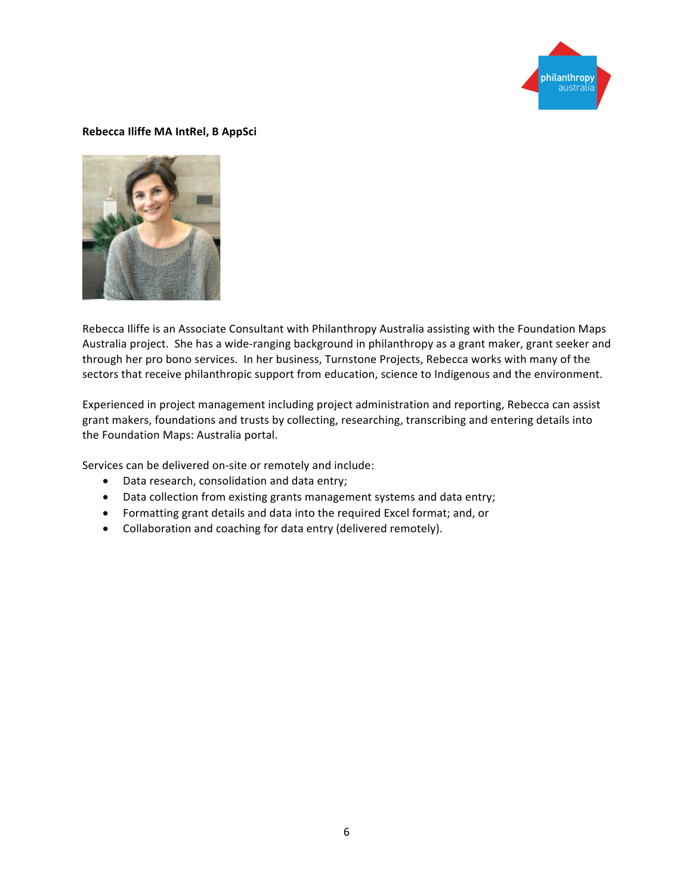

#### **Rebecca Iliffe MA IntRel, B AppSci**



Rebecca Iliffe is an Associate Consultant with Philanthropy Australia assisting with the Foundation Maps Australia project. She has a wide-ranging background in philanthropy as a grant maker, grant seeker and through her pro bono services. In her business, Turnstone Projects, Rebecca works with many of the sectors that receive philanthropic support from education, science to Indigenous and the environment.

Experienced in project management including project administration and reporting, Rebecca can assist grant makers, foundations and trusts by collecting, researching, transcribing and entering details into the Foundation Maps: Australia portal.

Services can be delivered on-site or remotely and include:

- Data research, consolidation and data entry;
- Data collection from existing grants management systems and data entry;
- Formatting grant details and data into the required Excel format; and, or
- Collaboration and coaching for data entry (delivered remotely).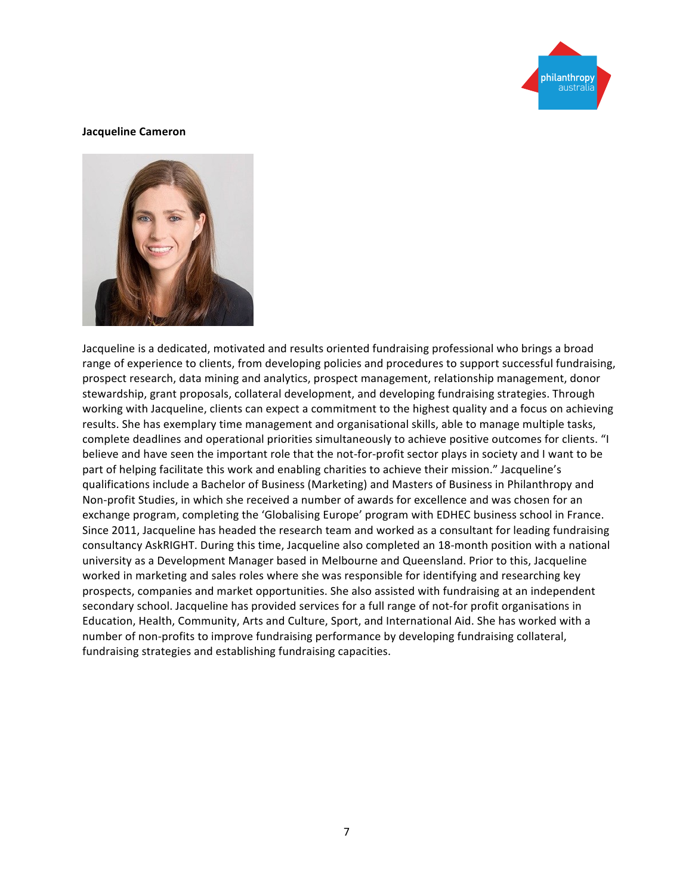

#### **Jacqueline Cameron**



Jacqueline is a dedicated, motivated and results oriented fundraising professional who brings a broad range of experience to clients, from developing policies and procedures to support successful fundraising, prospect research, data mining and analytics, prospect management, relationship management, donor stewardship, grant proposals, collateral development, and developing fundraising strategies. Through working with Jacqueline, clients can expect a commitment to the highest quality and a focus on achieving results. She has exemplary time management and organisational skills, able to manage multiple tasks, complete deadlines and operational priorities simultaneously to achieve positive outcomes for clients. "I believe and have seen the important role that the not-for-profit sector plays in society and I want to be part of helping facilitate this work and enabling charities to achieve their mission." Jacqueline's qualifications include a Bachelor of Business (Marketing) and Masters of Business in Philanthropy and Non-profit Studies, in which she received a number of awards for excellence and was chosen for an exchange program, completing the 'Globalising Europe' program with EDHEC business school in France. Since 2011, Jacqueline has headed the research team and worked as a consultant for leading fundraising consultancy AskRIGHT. During this time, Jacqueline also completed an 18-month position with a national university as a Development Manager based in Melbourne and Queensland. Prior to this, Jacqueline worked in marketing and sales roles where she was responsible for identifying and researching key prospects, companies and market opportunities. She also assisted with fundraising at an independent secondary school. Jacqueline has provided services for a full range of not-for profit organisations in Education, Health, Community, Arts and Culture, Sport, and International Aid. She has worked with a number of non-profits to improve fundraising performance by developing fundraising collateral, fundraising strategies and establishing fundraising capacities.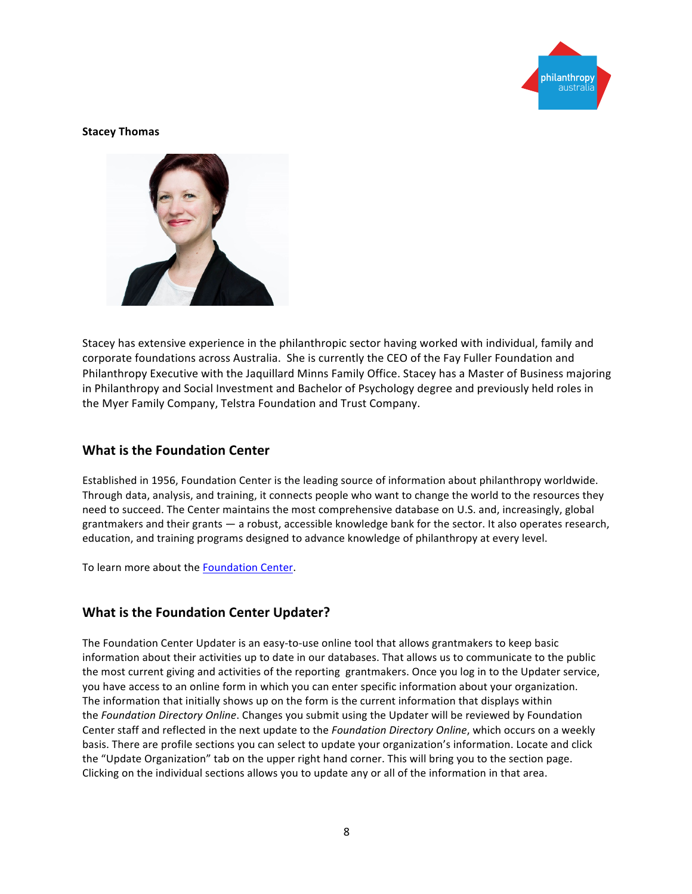

#### **Stacey Thomas**



Stacey has extensive experience in the philanthropic sector having worked with individual, family and corporate foundations across Australia. She is currently the CEO of the Fay Fuller Foundation and Philanthropy Executive with the Jaquillard Minns Family Office. Stacey has a Master of Business majoring in Philanthropy and Social Investment and Bachelor of Psychology degree and previously held roles in the Myer Family Company, Telstra Foundation and Trust Company.

#### **What is the Foundation Center**

Established in 1956, Foundation Center is the leading source of information about philanthropy worldwide. Through data, analysis, and training, it connects people who want to change the world to the resources they need to succeed. The Center maintains the most comprehensive database on U.S. and, increasingly, global grantmakers and their grants  $-$  a robust, accessible knowledge bank for the sector. It also operates research, education, and training programs designed to advance knowledge of philanthropy at every level.

To learn more about the Foundation Center.

# **What is the Foundation Center Updater?**

The Foundation Center Updater is an easy-to-use online tool that allows grantmakers to keep basic information about their activities up to date in our databases. That allows us to communicate to the public the most current giving and activities of the reporting grantmakers. Once you log in to the Updater service, you have access to an online form in which you can enter specific information about your organization. The information that initially shows up on the form is the current information that displays within the *Foundation Directory Online*. Changes you submit using the Updater will be reviewed by Foundation Center staff and reflected in the next update to the *Foundation Directory Online*, which occurs on a weekly basis. There are profile sections you can select to update your organization's information. Locate and click the "Update Organization" tab on the upper right hand corner. This will bring you to the section page. Clicking on the individual sections allows you to update any or all of the information in that area.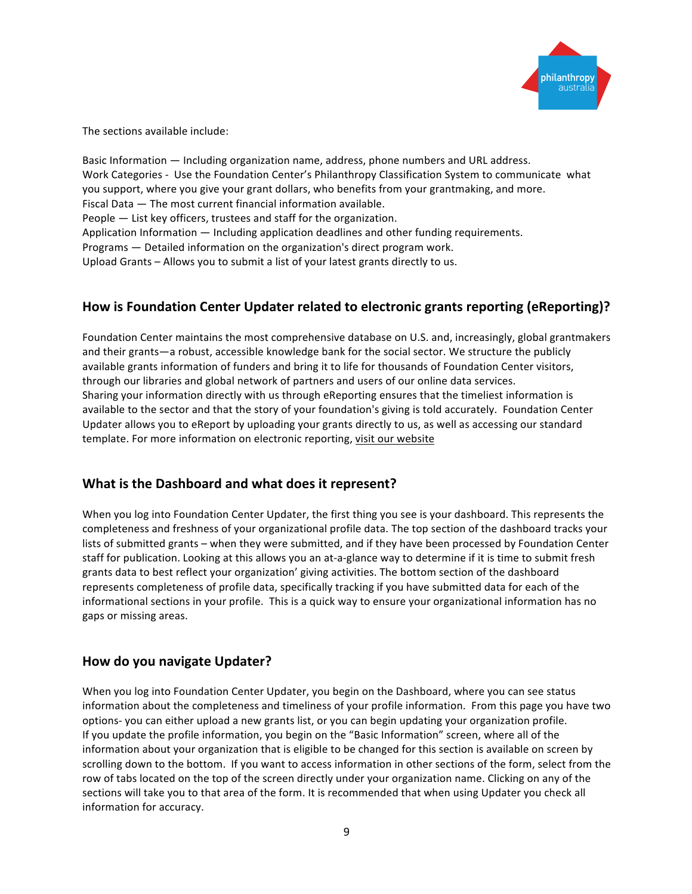

The sections available include:

Basic Information — Including organization name, address, phone numbers and URL address. Work Categories - Use the Foundation Center's Philanthropy Classification System to communicate what you support, where you give your grant dollars, who benefits from your grantmaking, and more. Fiscal Data  $-$  The most current financial information available. People  $-$  List key officers, trustees and staff for the organization. Application Information  $-$  Including application deadlines and other funding requirements. Programs  $-$  Detailed information on the organization's direct program work. Upload Grants – Allows you to submit a list of your latest grants directly to us.

# **How** is Foundation Center Updater related to electronic grants reporting (eReporting)?

Foundation Center maintains the most comprehensive database on U.S. and, increasingly, global grantmakers and their grants—a robust, accessible knowledge bank for the social sector. We structure the publicly available grants information of funders and bring it to life for thousands of Foundation Center visitors, through our libraries and global network of partners and users of our online data services. Sharing your information directly with us through eReporting ensures that the timeliest information is available to the sector and that the story of your foundation's giving is told accurately. Foundation Center Updater allows you to eReport by uploading your grants directly to us, as well as accessing our standard template. For more information on electronic reporting, visit our website

# **What is the Dashboard and what does it represent?**

When you log into Foundation Center Updater, the first thing you see is your dashboard. This represents the completeness and freshness of your organizational profile data. The top section of the dashboard tracks your lists of submitted grants – when they were submitted, and if they have been processed by Foundation Center staff for publication. Looking at this allows you an at-a-glance way to determine if it is time to submit fresh grants data to best reflect your organization' giving activities. The bottom section of the dashboard represents completeness of profile data, specifically tracking if you have submitted data for each of the informational sections in your profile. This is a quick way to ensure your organizational information has no gaps or missing areas.

# **How do you navigate Updater?**

When you log into Foundation Center Updater, you begin on the Dashboard, where you can see status information about the completeness and timeliness of your profile information. From this page you have two options- you can either upload a new grants list, or you can begin updating your organization profile. If you update the profile information, you begin on the "Basic Information" screen, where all of the information about your organization that is eligible to be changed for this section is available on screen by scrolling down to the bottom. If you want to access information in other sections of the form, select from the row of tabs located on the top of the screen directly under your organization name. Clicking on any of the sections will take you to that area of the form. It is recommended that when using Updater you check all information for accuracy.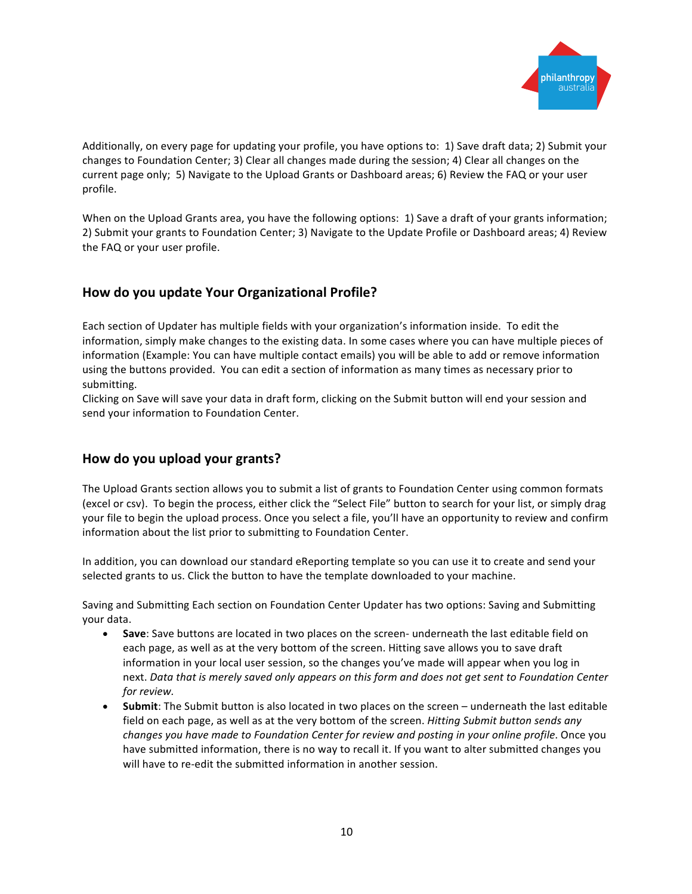

Additionally, on every page for updating your profile, you have options to: 1) Save draft data; 2) Submit your changes to Foundation Center; 3) Clear all changes made during the session; 4) Clear all changes on the current page only; 5) Navigate to the Upload Grants or Dashboard areas; 6) Review the FAQ or your user profile.

When on the Upload Grants area, you have the following options: 1) Save a draft of your grants information; 2) Submit your grants to Foundation Center; 3) Navigate to the Update Profile or Dashboard areas; 4) Review the FAQ or your user profile.

# **How do you update Your Organizational Profile?**

Each section of Updater has multiple fields with your organization's information inside. To edit the information, simply make changes to the existing data. In some cases where you can have multiple pieces of information (Example: You can have multiple contact emails) you will be able to add or remove information using the buttons provided. You can edit a section of information as many times as necessary prior to submitting.

Clicking on Save will save your data in draft form, clicking on the Submit button will end your session and send your information to Foundation Center.

# **How do you upload your grants?**

The Upload Grants section allows you to submit a list of grants to Foundation Center using common formats (excel or csv). To begin the process, either click the "Select File" button to search for your list, or simply drag your file to begin the upload process. Once you select a file, you'll have an opportunity to review and confirm information about the list prior to submitting to Foundation Center.

In addition, you can download our standard eReporting template so you can use it to create and send your selected grants to us. Click the button to have the template downloaded to your machine.

Saving and Submitting Each section on Foundation Center Updater has two options: Saving and Submitting your data.

- Save: Save buttons are located in two places on the screen- underneath the last editable field on each page, as well as at the very bottom of the screen. Hitting save allows you to save draft information in your local user session, so the changes you've made will appear when you log in next. Data that is merely saved only appears on this form and does not get sent to Foundation Center *for review.*
- **Submit**: The Submit button is also located in two places on the screen underneath the last editable field on each page, as well as at the very bottom of the screen. *Hitting Submit button sends any changes you have made to Foundation Center for review and posting in your online profile.* Once you have submitted information, there is no way to recall it. If you want to alter submitted changes you will have to re-edit the submitted information in another session.